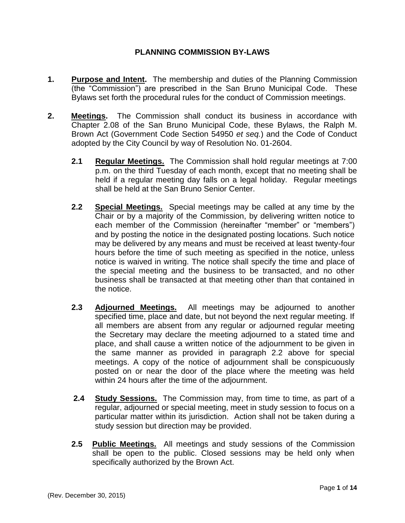## **PLANNING COMMISSION BY-LAWS**

- **1. Purpose and Intent.** The membership and duties of the Planning Commission (the "Commission") are prescribed in the San Bruno Municipal Code. These Bylaws set forth the procedural rules for the conduct of Commission meetings.
- **2. Meetings.** The Commission shall conduct its business in accordance with Chapter 2.08 of the San Bruno Municipal Code, these Bylaws, the Ralph M. Brown Act (Government Code Section 54950 *et seq.*) and the Code of Conduct adopted by the City Council by way of Resolution No. 01-2604.
	- **2.1 Regular Meetings.** The Commission shall hold regular meetings at 7:00 p.m. on the third Tuesday of each month, except that no meeting shall be held if a regular meeting day falls on a legal holiday. Regular meetings shall be held at the San Bruno Senior Center.
	- **2.2 Special Meetings.** Special meetings may be called at any time by the Chair or by a majority of the Commission, by delivering written notice to each member of the Commission (hereinafter "member" or "members") and by posting the notice in the designated posting locations. Such notice may be delivered by any means and must be received at least twenty-four hours before the time of such meeting as specified in the notice, unless notice is waived in writing. The notice shall specify the time and place of the special meeting and the business to be transacted, and no other business shall be transacted at that meeting other than that contained in the notice.
	- **2.3 Adjourned Meetings.** All meetings may be adjourned to another specified time, place and date, but not beyond the next regular meeting. If all members are absent from any regular or adjourned regular meeting the Secretary may declare the meeting adjourned to a stated time and place, and shall cause a written notice of the adjournment to be given in the same manner as provided in paragraph 2.2 above for special meetings. A copy of the notice of adjournment shall be conspicuously posted on or near the door of the place where the meeting was held within 24 hours after the time of the adjournment.
	- **2.4 Study Sessions.** The Commission may, from time to time, as part of a regular, adjourned or special meeting, meet in study session to focus on a particular matter within its jurisdiction. Action shall not be taken during a study session but direction may be provided.
	- **2.5 Public Meetings.** All meetings and study sessions of the Commission shall be open to the public. Closed sessions may be held only when specifically authorized by the Brown Act.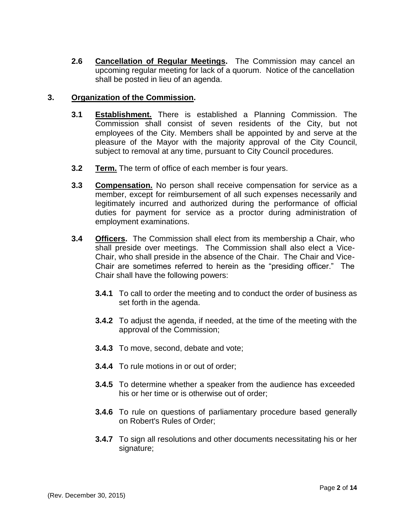**2.6 Cancellation of Regular Meetings.** The Commission may cancel an upcoming regular meeting for lack of a quorum. Notice of the cancellation shall be posted in lieu of an agenda.

### **3. Organization of the Commission.**

- **3.1 Establishment.** There is established a Planning Commission. The Commission shall consist of seven residents of the City, but not employees of the City. Members shall be appointed by and serve at the pleasure of the Mayor with the majority approval of the City Council, subject to removal at any time, pursuant to City Council procedures.
- **3.2 Term.** The term of office of each member is four years.
- **3.3 Compensation.** No person shall receive compensation for service as a member, except for reimbursement of all such expenses necessarily and legitimately incurred and authorized during the performance of official duties for payment for service as a proctor during administration of employment examinations.
- **3.4 Officers.** The Commission shall elect from its membership a Chair, who shall preside over meetings. The Commission shall also elect a Vice-Chair, who shall preside in the absence of the Chair. The Chair and Vice-Chair are sometimes referred to herein as the "presiding officer." The Chair shall have the following powers:
	- **3.4.1** To call to order the meeting and to conduct the order of business as set forth in the agenda.
	- **3.4.2** To adjust the agenda, if needed, at the time of the meeting with the approval of the Commission;
	- **3.4.3** To move, second, debate and vote;
	- **3.4.4** To rule motions in or out of order;
	- **3.4.5** To determine whether a speaker from the audience has exceeded his or her time or is otherwise out of order;
	- **3.4.6** To rule on questions of parliamentary procedure based generally on Robert's Rules of Order;
	- **3.4.7** To sign all resolutions and other documents necessitating his or her signature;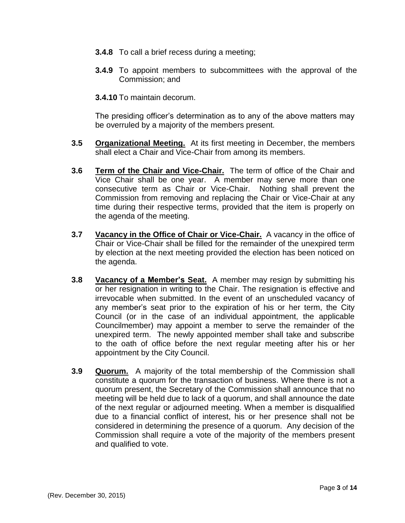- **3.4.8** To call a brief recess during a meeting;
- **3.4.9** To appoint members to subcommittees with the approval of the Commission; and
- **3.4.10** To maintain decorum.

The presiding officer's determination as to any of the above matters may be overruled by a majority of the members present.

- **3.5 Organizational Meeting.** At its first meeting in December, the members shall elect a Chair and Vice-Chair from among its members.
- **3.6 Term of the Chair and Vice-Chair.** The term of office of the Chair and Vice Chair shall be one year. A member may serve more than one consecutive term as Chair or Vice-Chair. Nothing shall prevent the Commission from removing and replacing the Chair or Vice-Chair at any time during their respective terms, provided that the item is properly on the agenda of the meeting.
- **3.7 Vacancy in the Office of Chair or Vice-Chair.** A vacancy in the office of Chair or Vice-Chair shall be filled for the remainder of the unexpired term by election at the next meeting provided the election has been noticed on the agenda.
- **3.8 Vacancy of a Member's Seat.** A member may resign by submitting his or her resignation in writing to the Chair. The resignation is effective and irrevocable when submitted. In the event of an unscheduled vacancy of any member's seat prior to the expiration of his or her term, the City Council (or in the case of an individual appointment, the applicable Councilmember) may appoint a member to serve the remainder of the unexpired term. The newly appointed member shall take and subscribe to the oath of office before the next regular meeting after his or her appointment by the City Council.
- **3.9 Quorum.** A majority of the total membership of the Commission shall constitute a quorum for the transaction of business. Where there is not a quorum present, the Secretary of the Commission shall announce that no meeting will be held due to lack of a quorum, and shall announce the date of the next regular or adjourned meeting. When a member is disqualified due to a financial conflict of interest, his or her presence shall not be considered in determining the presence of a quorum. Any decision of the Commission shall require a vote of the majority of the members present and qualified to vote.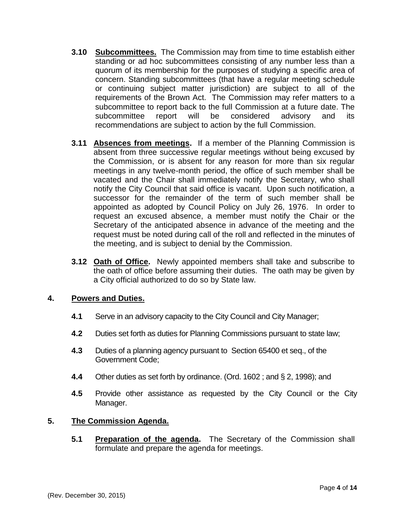- **3.10 Subcommittees.** The Commission may from time to time establish either standing or ad hoc subcommittees consisting of any number less than a quorum of its membership for the purposes of studying a specific area of concern. Standing subcommittees (that have a regular meeting schedule or continuing subject matter jurisdiction) are subject to all of the requirements of the Brown Act. The Commission may refer matters to a subcommittee to report back to the full Commission at a future date. The subcommittee report will be considered advisory and its recommendations are subject to action by the full Commission.
- **3.11 Absences from meetings.** If a member of the Planning Commission is absent from three successive regular meetings without being excused by the Commission, or is absent for any reason for more than six regular meetings in any twelve-month period, the office of such member shall be vacated and the Chair shall immediately notify the Secretary, who shall notify the City Council that said office is vacant. Upon such notification, a successor for the remainder of the term of such member shall be appointed as adopted by Council Policy on July 26, 1976. In order to request an excused absence, a member must notify the Chair or the Secretary of the anticipated absence in advance of the meeting and the request must be noted during call of the roll and reflected in the minutes of the meeting, and is subject to denial by the Commission.
- **3.12 Oath of Office.** Newly appointed members shall take and subscribe to the oath of office before assuming their duties. The oath may be given by a City official authorized to do so by State law.

## **4. Powers and Duties.**

- **4.1** Serve in an advisory capacity to the City Council and City Manager;
- **4.2** Duties set forth as duties for Planning Commissions pursuant to state law;
- **4.3** Duties of a planning agency pursuant to Section 65400 et seq., of the Government Code;
- **4.4** Other duties as set forth by ordinance. (Ord. 1602 ; and § 2, 1998); and
- **4.5** Provide other assistance as requested by the City Council or the City Manager.

## **5. The Commission Agenda.**

**5.1 Preparation of the agenda.** The Secretary of the Commission shall formulate and prepare the agenda for meetings.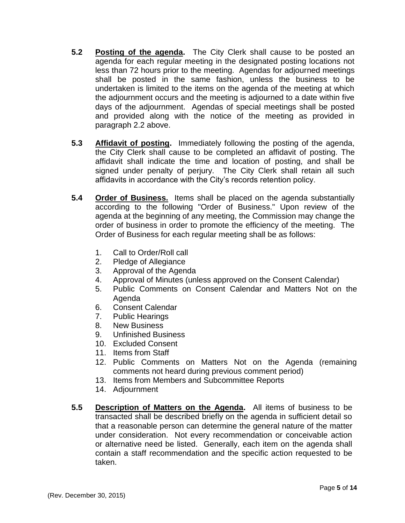- **5.2 Posting of the agenda.** The City Clerk shall cause to be posted an agenda for each regular meeting in the designated posting locations not less than 72 hours prior to the meeting. Agendas for adjourned meetings shall be posted in the same fashion, unless the business to be undertaken is limited to the items on the agenda of the meeting at which the adjournment occurs and the meeting is adjourned to a date within five days of the adjournment. Agendas of special meetings shall be posted and provided along with the notice of the meeting as provided in paragraph 2.2 above.
- **5.3 Affidavit of posting.** Immediately following the posting of the agenda, the City Clerk shall cause to be completed an affidavit of posting. The affidavit shall indicate the time and location of posting, and shall be signed under penalty of perjury. The City Clerk shall retain all such affidavits in accordance with the City's records retention policy.
- **5.4 Order of Business.** Items shall be placed on the agenda substantially according to the following "Order of Business." Upon review of the agenda at the beginning of any meeting, the Commission may change the order of business in order to promote the efficiency of the meeting. The Order of Business for each regular meeting shall be as follows:
	- 1. Call to Order/Roll call
	- 2. Pledge of Allegiance
	- 3. Approval of the Agenda
	- 4. Approval of Minutes (unless approved on the Consent Calendar)
	- 5. Public Comments on Consent Calendar and Matters Not on the Agenda
	- 6. Consent Calendar
	- 7. Public Hearings
	- 8. New Business
	- 9. Unfinished Business
	- 10. Excluded Consent
	- 11. Items from Staff
	- 12. Public Comments on Matters Not on the Agenda (remaining comments not heard during previous comment period)
	- 13. Items from Members and Subcommittee Reports
	- 14. Adjournment
- **5.5 Description of Matters on the Agenda.** All items of business to be transacted shall be described briefly on the agenda in sufficient detail so that a reasonable person can determine the general nature of the matter under consideration. Not every recommendation or conceivable action or alternative need be listed. Generally, each item on the agenda shall contain a staff recommendation and the specific action requested to be taken.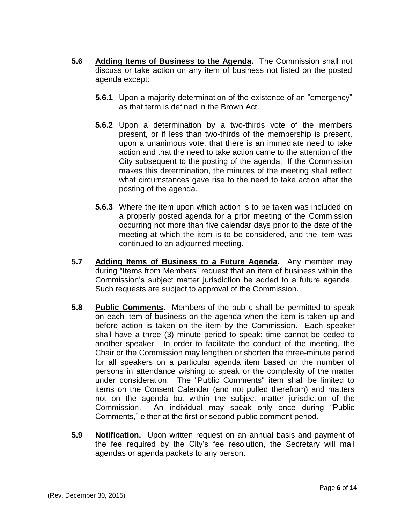- **5.6 Adding Items of Business to the Agenda.** The Commission shall not discuss or take action on any item of business not listed on the posted agenda except:
	- **5.6.1** Upon a majority determination of the existence of an "emergency" as that term is defined in the Brown Act.
	- **5.6.2** Upon a determination by a two-thirds vote of the members present, or if less than two-thirds of the membership is present, upon a unanimous vote, that there is an immediate need to take action and that the need to take action came to the attention of the City subsequent to the posting of the agenda. If the Commission makes this determination, the minutes of the meeting shall reflect what circumstances gave rise to the need to take action after the posting of the agenda.
	- **5.6.3** Where the item upon which action is to be taken was included on a properly posted agenda for a prior meeting of the Commission occurring not more than five calendar days prior to the date of the meeting at which the item is to be considered, and the item was continued to an adjourned meeting.
- **5.7 Adding Items of Business to a Future Agenda.** Any member may during "Items from Members" request that an item of business within the Commission's subject matter jurisdiction be added to a future agenda. Such requests are subject to approval of the Commission.
- **5.8 Public Comments.** Members of the public shall be permitted to speak on each item of business on the agenda when the item is taken up and before action is taken on the item by the Commission. Each speaker shall have a three (3) minute period to speak; time cannot be ceded to another speaker. In order to facilitate the conduct of the meeting, the Chair or the Commission may lengthen or shorten the three-minute period for all speakers on a particular agenda item based on the number of persons in attendance wishing to speak or the complexity of the matter under consideration. The "Public Comments" item shall be limited to items on the Consent Calendar (and not pulled therefrom) and matters not on the agenda but within the subject matter jurisdiction of the Commission. An individual may speak only once during "Public Comments," either at the first or second public comment period.
- **5.9 Notification.** Upon written request on an annual basis and payment of the fee required by the City's fee resolution, the Secretary will mail agendas or agenda packets to any person.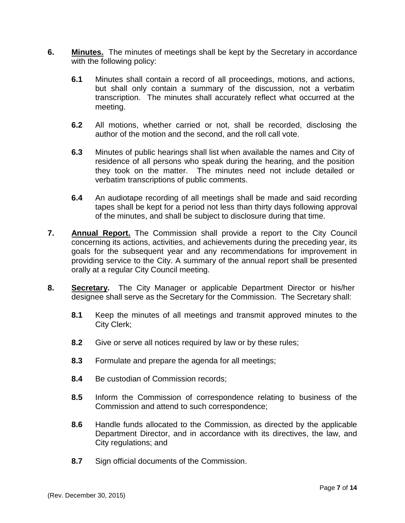- **6. Minutes.** The minutes of meetings shall be kept by the Secretary in accordance with the following policy:
	- **6.1** Minutes shall contain a record of all proceedings, motions, and actions, but shall only contain a summary of the discussion, not a verbatim transcription. The minutes shall accurately reflect what occurred at the meeting.
	- **6.2** All motions, whether carried or not, shall be recorded, disclosing the author of the motion and the second, and the roll call vote.
	- **6.3** Minutes of public hearings shall list when available the names and City of residence of all persons who speak during the hearing, and the position they took on the matter. The minutes need not include detailed or verbatim transcriptions of public comments.
	- **6.4** An audiotape recording of all meetings shall be made and said recording tapes shall be kept for a period not less than thirty days following approval of the minutes, and shall be subject to disclosure during that time.
- **7. Annual Report.** The Commission shall provide a report to the City Council concerning its actions, activities, and achievements during the preceding year, its goals for the subsequent year and any recommendations for improvement in providing service to the City. A summary of the annual report shall be presented orally at a regular City Council meeting.
- **8. Secretary.** The City Manager or applicable Department Director or his/her designee shall serve as the Secretary for the Commission. The Secretary shall:
	- **8.1** Keep the minutes of all meetings and transmit approved minutes to the City Clerk;
	- **8.2** Give or serve all notices required by law or by these rules;
	- **8.3** Formulate and prepare the agenda for all meetings;
	- **8.4** Be custodian of Commission records;
	- **8.5** Inform the Commission of correspondence relating to business of the Commission and attend to such correspondence;
	- **8.6** Handle funds allocated to the Commission, as directed by the applicable Department Director, and in accordance with its directives, the law, and City regulations; and
	- **8.7** Sign official documents of the Commission.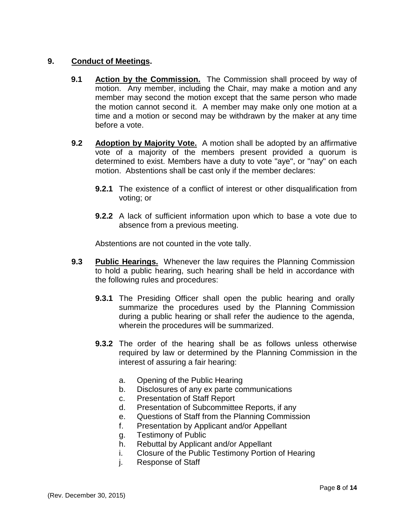## **9. Conduct of Meetings.**

- **9.1 Action by the Commission.** The Commission shall proceed by way of motion. Any member, including the Chair, may make a motion and any member may second the motion except that the same person who made the motion cannot second it. A member may make only one motion at a time and a motion or second may be withdrawn by the maker at any time before a vote.
- **9.2 Adoption by Majority Vote.** A motion shall be adopted by an affirmative vote of a majority of the members present provided a quorum is determined to exist. Members have a duty to vote "aye", or "nay" on each motion. Abstentions shall be cast only if the member declares:
	- **9.2.1** The existence of a conflict of interest or other disqualification from voting; or
	- **9.2.2** A lack of sufficient information upon which to base a vote due to absence from a previous meeting.

Abstentions are not counted in the vote tally.

- **9.3 Public Hearings.** Whenever the law requires the Planning Commission to hold a public hearing, such hearing shall be held in accordance with the following rules and procedures:
	- **9.3.1** The Presiding Officer shall open the public hearing and orally summarize the procedures used by the Planning Commission during a public hearing or shall refer the audience to the agenda, wherein the procedures will be summarized.
	- **9.3.2** The order of the hearing shall be as follows unless otherwise required by law or determined by the Planning Commission in the interest of assuring a fair hearing:
		- a. Opening of the Public Hearing
		- b. Disclosures of any ex parte communications
		- c. Presentation of Staff Report
		- d. Presentation of Subcommittee Reports, if any
		- e. Questions of Staff from the Planning Commission
		- f. Presentation by Applicant and/or Appellant
		- g. Testimony of Public
		- h. Rebuttal by Applicant and/or Appellant
		- i. Closure of the Public Testimony Portion of Hearing
		- j. Response of Staff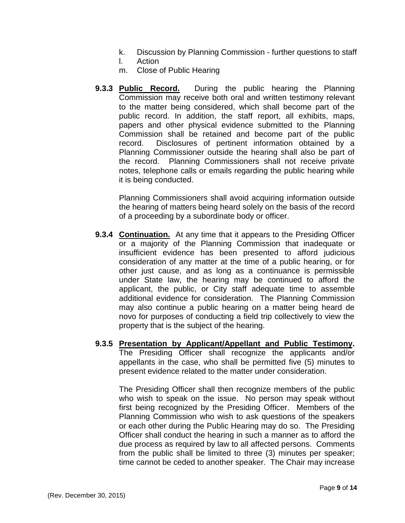- k. Discussion by Planning Commission further questions to staff
- l. Action
- m. Close of Public Hearing
- **9.3.3 Public Record.** During the public hearing the Planning Commission may receive both oral and written testimony relevant to the matter being considered, which shall become part of the public record. In addition, the staff report, all exhibits, maps, papers and other physical evidence submitted to the Planning Commission shall be retained and become part of the public record. Disclosures of pertinent information obtained by a Planning Commissioner outside the hearing shall also be part of the record. Planning Commissioners shall not receive private notes, telephone calls or emails regarding the public hearing while it is being conducted.

Planning Commissioners shall avoid acquiring information outside the hearing of matters being heard solely on the basis of the record of a proceeding by a subordinate body or officer.

- **9.3.4 Continuation.** At any time that it appears to the Presiding Officer or a majority of the Planning Commission that inadequate or insufficient evidence has been presented to afford judicious consideration of any matter at the time of a public hearing, or for other just cause, and as long as a continuance is permissible under State law, the hearing may be continued to afford the applicant, the public, or City staff adequate time to assemble additional evidence for consideration. The Planning Commission may also continue a public hearing on a matter being heard de novo for purposes of conducting a field trip collectively to view the property that is the subject of the hearing.
- **9.3.5 Presentation by Applicant/Appellant and Public Testimony.** The Presiding Officer shall recognize the applicants and/or appellants in the case, who shall be permitted five (5) minutes to present evidence related to the matter under consideration.

The Presiding Officer shall then recognize members of the public who wish to speak on the issue. No person may speak without first being recognized by the Presiding Officer. Members of the Planning Commission who wish to ask questions of the speakers or each other during the Public Hearing may do so. The Presiding Officer shall conduct the hearing in such a manner as to afford the due process as required by law to all affected persons. Comments from the public shall be limited to three (3) minutes per speaker; time cannot be ceded to another speaker. The Chair may increase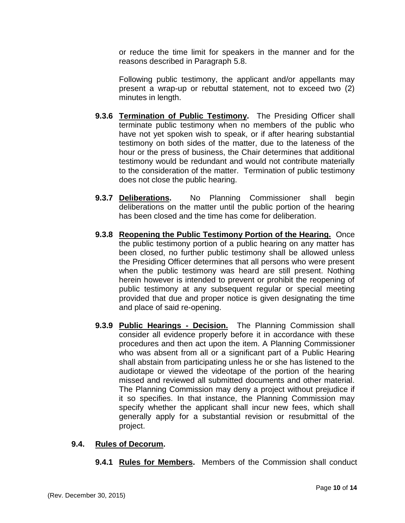or reduce the time limit for speakers in the manner and for the reasons described in Paragraph 5.8.

Following public testimony, the applicant and/or appellants may present a wrap-up or rebuttal statement, not to exceed two (2) minutes in length.

- **9.3.6 Termination of Public Testimony.** The Presiding Officer shall terminate public testimony when no members of the public who have not yet spoken wish to speak, or if after hearing substantial testimony on both sides of the matter, due to the lateness of the hour or the press of business, the Chair determines that additional testimony would be redundant and would not contribute materially to the consideration of the matter. Termination of public testimony does not close the public hearing.
- **9.3.7 Deliberations.** No Planning Commissioner shall begin deliberations on the matter until the public portion of the hearing has been closed and the time has come for deliberation.
- **9.3.8 Reopening the Public Testimony Portion of the Hearing.** Once the public testimony portion of a public hearing on any matter has been closed, no further public testimony shall be allowed unless the Presiding Officer determines that all persons who were present when the public testimony was heard are still present. Nothing herein however is intended to prevent or prohibit the reopening of public testimony at any subsequent regular or special meeting provided that due and proper notice is given designating the time and place of said re-opening.
- **9.3.9 Public Hearings - Decision.** The Planning Commission shall consider all evidence properly before it in accordance with these procedures and then act upon the item. A Planning Commissioner who was absent from all or a significant part of a Public Hearing shall abstain from participating unless he or she has listened to the audiotape or viewed the videotape of the portion of the hearing missed and reviewed all submitted documents and other material. The Planning Commission may deny a project without prejudice if it so specifies. In that instance, the Planning Commission may specify whether the applicant shall incur new fees, which shall generally apply for a substantial revision or resubmittal of the project.

## **9.4. Rules of Decorum.**

**9.4.1 Rules for Members.** Members of the Commission shall conduct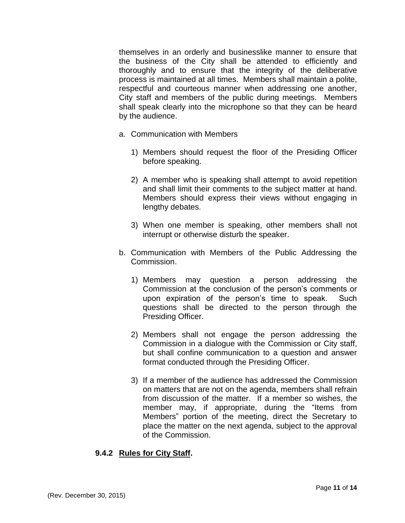themselves in an orderly and businesslike manner to ensure that the business of the City shall be attended to efficiently and thoroughly and to ensure that the integrity of the deliberative process is maintained at all times. Members shall maintain a polite, respectful and courteous manner when addressing one another, City staff and members of the public during meetings. Members shall speak clearly into the microphone so that they can be heard by the audience.

- a. Communication with Members
	- 1) Members should request the floor of the Presiding Officer before speaking.
	- 2) A member who is speaking shall attempt to avoid repetition and shall limit their comments to the subject matter at hand. Members should express their views without engaging in lengthy debates.
	- 3) When one member is speaking, other members shall not interrupt or otherwise disturb the speaker.
- b. Communication with Members of the Public Addressing the Commission.
	- 1) Members may question a person addressing the Commission at the conclusion of the person's comments or upon expiration of the person's time to speak. Such questions shall be directed to the person through the Presiding Officer.
	- 2) Members shall not engage the person addressing the Commission in a dialogue with the Commission or City staff, but shall confine communication to a question and answer format conducted through the Presiding Officer.
	- 3) If a member of the audience has addressed the Commission on matters that are not on the agenda, members shall refrain from discussion of the matter. If a member so wishes, the member may, if appropriate, during the "Items from Members" portion of the meeting, direct the Secretary to place the matter on the next agenda, subject to the approval of the Commission.

# **9.4.2 Rules for City Staff.**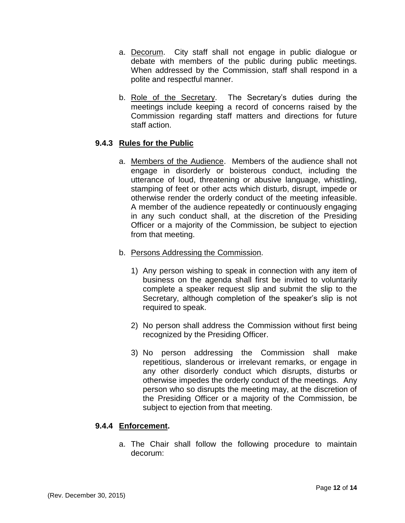- a. Decorum.City staff shall not engage in public dialogue or debate with members of the public during public meetings. When addressed by the Commission, staff shall respond in a polite and respectful manner.
- b. Role of the Secretary. The Secretary's duties during the meetings include keeping a record of concerns raised by the Commission regarding staff matters and directions for future staff action.

## **9.4.3 Rules for the Public**

- a. Members of the Audience. Members of the audience shall not engage in disorderly or boisterous conduct, including the utterance of loud, threatening or abusive language, whistling, stamping of feet or other acts which disturb, disrupt, impede or otherwise render the orderly conduct of the meeting infeasible. A member of the audience repeatedly or continuously engaging in any such conduct shall, at the discretion of the Presiding Officer or a majority of the Commission, be subject to ejection from that meeting.
- b. Persons Addressing the Commission.
	- 1) Any person wishing to speak in connection with any item of business on the agenda shall first be invited to voluntarily complete a speaker request slip and submit the slip to the Secretary, although completion of the speaker's slip is not required to speak.
	- 2) No person shall address the Commission without first being recognized by the Presiding Officer.
	- 3) No person addressing the Commission shall make repetitious, slanderous or irrelevant remarks, or engage in any other disorderly conduct which disrupts, disturbs or otherwise impedes the orderly conduct of the meetings. Any person who so disrupts the meeting may, at the discretion of the Presiding Officer or a majority of the Commission, be subject to ejection from that meeting.

## **9.4.4 Enforcement.**

a. The Chair shall follow the following procedure to maintain decorum: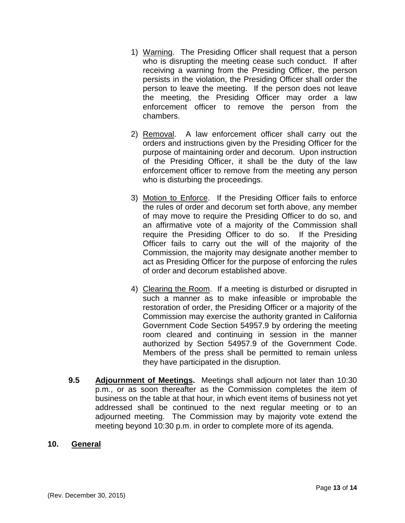- 1) Warning. The Presiding Officer shall request that a person who is disrupting the meeting cease such conduct. If after receiving a warning from the Presiding Officer, the person persists in the violation, the Presiding Officer shall order the person to leave the meeting. If the person does not leave the meeting, the Presiding Officer may order a law enforcement officer to remove the person from the chambers.
- 2) Removal. A law enforcement officer shall carry out the orders and instructions given by the Presiding Officer for the purpose of maintaining order and decorum. Upon instruction of the Presiding Officer, it shall be the duty of the law enforcement officer to remove from the meeting any person who is disturbing the proceedings.
- 3) Motion to Enforce. If the Presiding Officer fails to enforce the rules of order and decorum set forth above, any member of may move to require the Presiding Officer to do so, and an affirmative vote of a majority of the Commission shall require the Presiding Officer to do so. If the Presiding Officer fails to carry out the will of the majority of the Commission, the majority may designate another member to act as Presiding Officer for the purpose of enforcing the rules of order and decorum established above.
- 4) Clearing the Room. If a meeting is disturbed or disrupted in such a manner as to make infeasible or improbable the restoration of order, the Presiding Officer or a majority of the Commission may exercise the authority granted in California Government Code Section 54957.9 by ordering the meeting room cleared and continuing in session in the manner authorized by Section 54957.9 of the Government Code. Members of the press shall be permitted to remain unless they have participated in the disruption.
- **9.5 Adjournment of Meetings.** Meetings shall adjourn not later than 10:30 p.m., or as soon thereafter as the Commission completes the item of business on the table at that hour, in which event items of business not yet addressed shall be continued to the next regular meeting or to an adjourned meeting. The Commission may by majority vote extend the meeting beyond 10:30 p.m. in order to complete more of its agenda.

## **10. General**